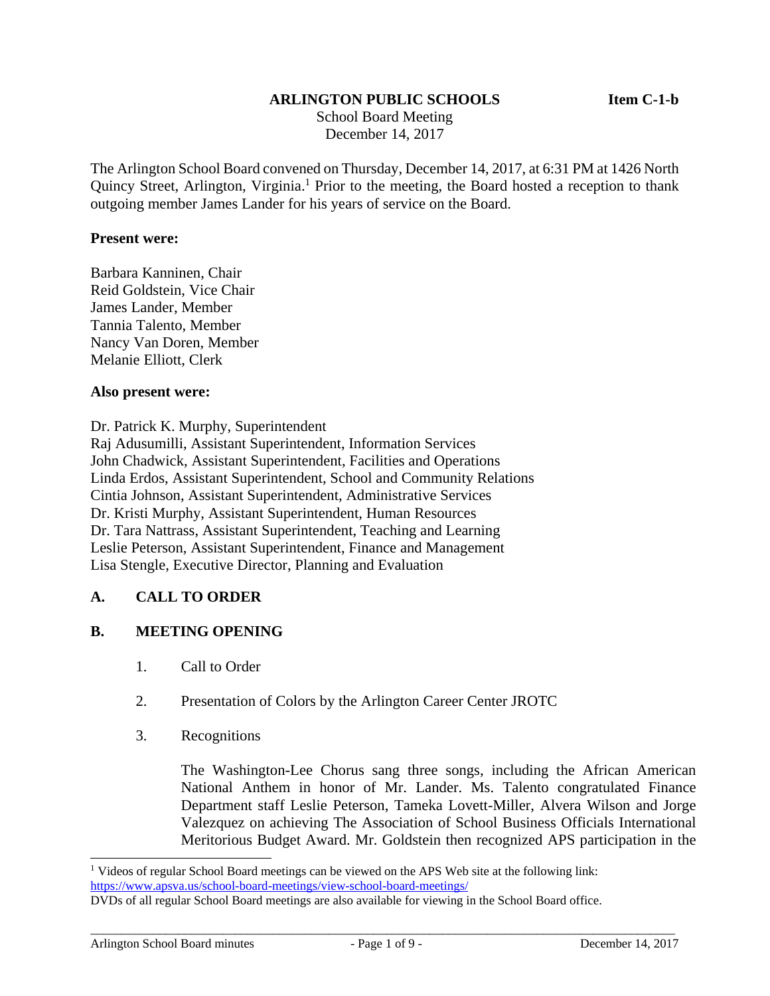### **ARLINGTON PUBLIC SCHOOLS Item C-1-b**

 School Board Meeting December 14, 2017

The Arlington School Board convened on Thursday, December 14, 2017, at 6:31 PM at 1426 North Quincy Street, Arlington, Virginia.<sup>1</sup> Prior to the meeting, the Board hosted a reception to thank outgoing member James Lander for his years of service on the Board.

#### **Present were:**

Barbara Kanninen, Chair Reid Goldstein, Vice Chair James Lander, Member Tannia Talento, Member Nancy Van Doren, Member Melanie Elliott, Clerk

#### **Also present were:**

Dr. Patrick K. Murphy, Superintendent

Raj Adusumilli, Assistant Superintendent, Information Services John Chadwick, Assistant Superintendent, Facilities and Operations Linda Erdos, Assistant Superintendent, School and Community Relations Cintia Johnson, Assistant Superintendent, Administrative Services Dr. Kristi Murphy, Assistant Superintendent, Human Resources Dr. Tara Nattrass, Assistant Superintendent, Teaching and Learning Leslie Peterson, Assistant Superintendent, Finance and Management Lisa Stengle, Executive Director, Planning and Evaluation

### **A. CALL TO ORDER**

### **B. MEETING OPENING**

- 1. Call to Order
- 2. Presentation of Colors by the Arlington Career Center JROTC
- 3. Recognitions

The Washington-Lee Chorus sang three songs, including the African American National Anthem in honor of Mr. Lander. Ms. Talento congratulated Finance Department staff Leslie Peterson, Tameka Lovett-Miller, Alvera Wilson and Jorge Valezquez on achieving The Association of School Business Officials International Meritorious Budget Award. Mr. Goldstein then recognized APS participation in the

<sup>&</sup>lt;sup>1</sup> Videos of regular School Board meetings can be viewed on the APS Web site at the following link: https://www.apsva.us/school-board-meetings/view-school-board-meetings/

DVDs of all regular School Board meetings are also available for viewing in the School Board office.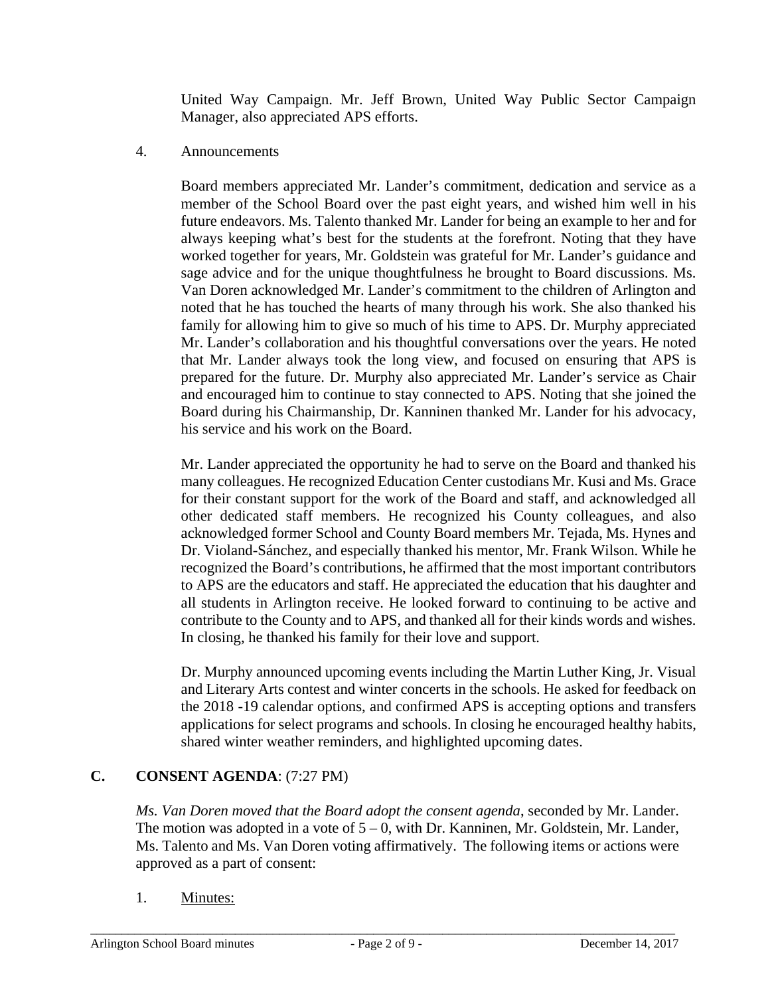United Way Campaign. Mr. Jeff Brown, United Way Public Sector Campaign Manager, also appreciated APS efforts.

4. Announcements

Board members appreciated Mr. Lander's commitment, dedication and service as a member of the School Board over the past eight years, and wished him well in his future endeavors. Ms. Talento thanked Mr. Lander for being an example to her and for always keeping what's best for the students at the forefront. Noting that they have worked together for years, Mr. Goldstein was grateful for Mr. Lander's guidance and sage advice and for the unique thoughtfulness he brought to Board discussions. Ms. Van Doren acknowledged Mr. Lander's commitment to the children of Arlington and noted that he has touched the hearts of many through his work. She also thanked his family for allowing him to give so much of his time to APS. Dr. Murphy appreciated Mr. Lander's collaboration and his thoughtful conversations over the years. He noted that Mr. Lander always took the long view, and focused on ensuring that APS is prepared for the future. Dr. Murphy also appreciated Mr. Lander's service as Chair and encouraged him to continue to stay connected to APS. Noting that she joined the Board during his Chairmanship, Dr. Kanninen thanked Mr. Lander for his advocacy, his service and his work on the Board.

Mr. Lander appreciated the opportunity he had to serve on the Board and thanked his many colleagues. He recognized Education Center custodians Mr. Kusi and Ms. Grace for their constant support for the work of the Board and staff, and acknowledged all other dedicated staff members. He recognized his County colleagues, and also acknowledged former School and County Board members Mr. Tejada, Ms. Hynes and Dr. Violand-Sánchez, and especially thanked his mentor, Mr. Frank Wilson. While he recognized the Board's contributions, he affirmed that the most important contributors to APS are the educators and staff. He appreciated the education that his daughter and all students in Arlington receive. He looked forward to continuing to be active and contribute to the County and to APS, and thanked all for their kinds words and wishes. In closing, he thanked his family for their love and support.

Dr. Murphy announced upcoming events including the Martin Luther King, Jr. Visual and Literary Arts contest and winter concerts in the schools. He asked for feedback on the 2018 -19 calendar options, and confirmed APS is accepting options and transfers applications for select programs and schools. In closing he encouraged healthy habits, shared winter weather reminders, and highlighted upcoming dates.

# **C. CONSENT AGENDA**: (7:27 PM)

*Ms. Van Doren moved that the Board adopt the consent agenda*, seconded by Mr. Lander. The motion was adopted in a vote of  $5 - 0$ , with Dr. Kanninen, Mr. Goldstein, Mr. Lander, Ms. Talento and Ms. Van Doren voting affirmatively. The following items or actions were approved as a part of consent:

1. Minutes: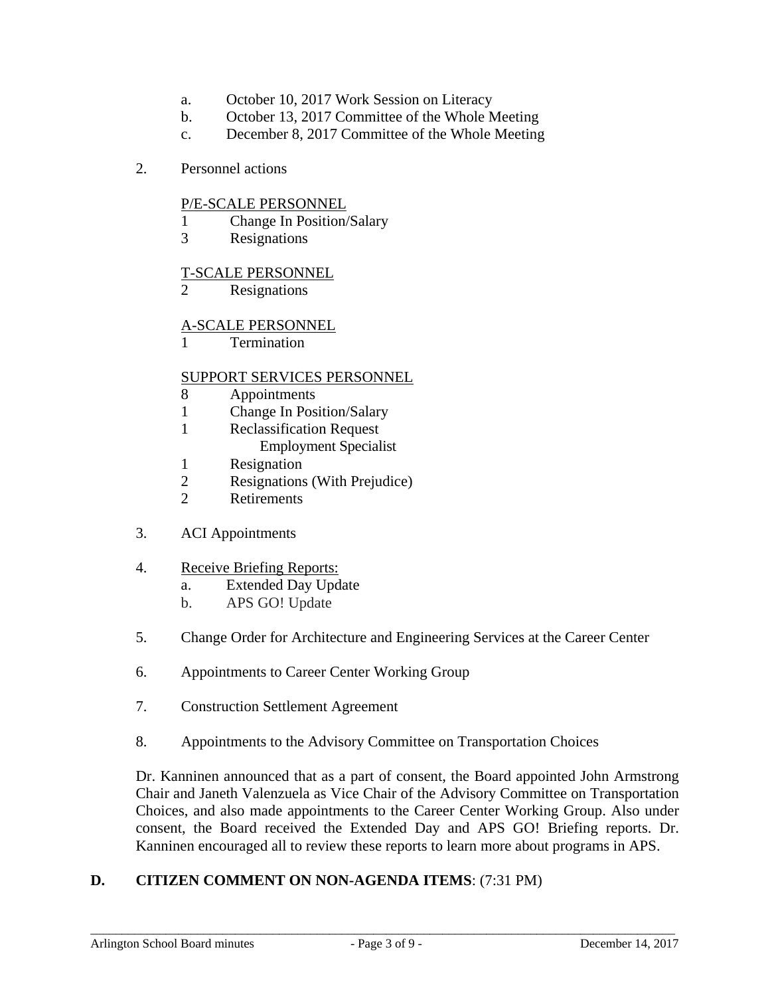- a. October 10, 2017 Work Session on Literacy
- b. October 13, 2017 Committee of the Whole Meeting
- c. December 8, 2017 Committee of the Whole Meeting
- 2. Personnel actions

### P/E-SCALE PERSONNEL

- 1 Change In Position/Salary
- 3 Resignations

#### T-SCALE PERSONNEL

2 Resignations

### A-SCALE PERSONNEL

**Termination** 

#### SUPPORT SERVICES PERSONNEL

- 8 Appointments
- 1 Change In Position/Salary
- 1 Reclassification Request
	- Employment Specialist
- 1 Resignation
- 2 Resignations (With Prejudice)
- 2 Retirements
- 3. ACI Appointments
- 4. Receive Briefing Reports:
	- a. Extended Day Update
	- b. APS GO! Update
- 5. Change Order for Architecture and Engineering Services at the Career Center
- 6. Appointments to Career Center Working Group
- 7. Construction Settlement Agreement
- 8. Appointments to the Advisory Committee on Transportation Choices

Dr. Kanninen announced that as a part of consent, the Board appointed John Armstrong Chair and Janeth Valenzuela as Vice Chair of the Advisory Committee on Transportation Choices, and also made appointments to the Career Center Working Group. Also under consent, the Board received the Extended Day and APS GO! Briefing reports. Dr. Kanninen encouraged all to review these reports to learn more about programs in APS.

### **D. CITIZEN COMMENT ON NON-AGENDA ITEMS**: (7:31 PM)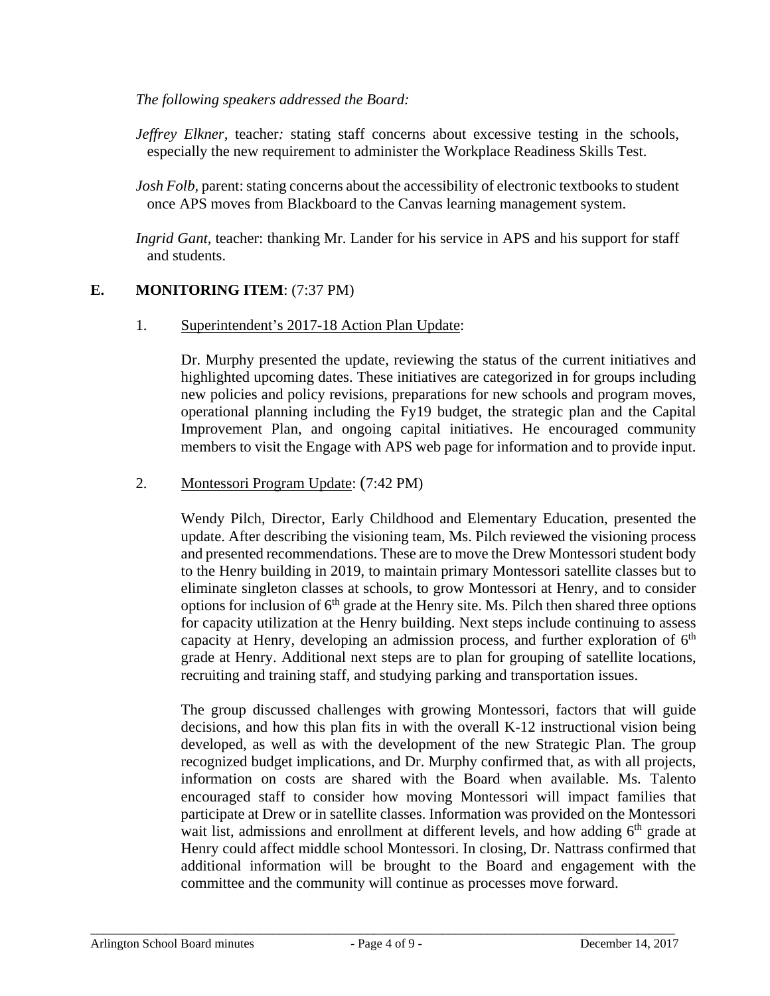### *The following speakers addressed the Board:*

*Jeffrey Elkner*, teacher: stating staff concerns about excessive testing in the schools, especially the new requirement to administer the Workplace Readiness Skills Test.

*Josh Folb,* parent: stating concerns about the accessibility of electronic textbooks to student once APS moves from Blackboard to the Canvas learning management system.

*Ingrid Gant,* teacher: thanking Mr. Lander for his service in APS and his support for staff and students.

### **E. MONITORING ITEM**: (7:37 PM)

### 1. Superintendent's 2017-18 Action Plan Update:

Dr. Murphy presented the update, reviewing the status of the current initiatives and highlighted upcoming dates. These initiatives are categorized in for groups including new policies and policy revisions, preparations for new schools and program moves, operational planning including the Fy19 budget, the strategic plan and the Capital Improvement Plan, and ongoing capital initiatives. He encouraged community members to visit the Engage with APS web page for information and to provide input.

### 2. Montessori Program Update: (7:42 PM)

Wendy Pilch, Director, Early Childhood and Elementary Education, presented the update. After describing the visioning team, Ms. Pilch reviewed the visioning process and presented recommendations. These are to move the Drew Montessori student body to the Henry building in 2019, to maintain primary Montessori satellite classes but to eliminate singleton classes at schools, to grow Montessori at Henry, and to consider options for inclusion of  $6<sup>th</sup>$  grade at the Henry site. Ms. Pilch then shared three options for capacity utilization at the Henry building. Next steps include continuing to assess capacity at Henry, developing an admission process, and further exploration of  $6<sup>th</sup>$ grade at Henry. Additional next steps are to plan for grouping of satellite locations, recruiting and training staff, and studying parking and transportation issues.

The group discussed challenges with growing Montessori, factors that will guide decisions, and how this plan fits in with the overall K-12 instructional vision being developed, as well as with the development of the new Strategic Plan. The group recognized budget implications, and Dr. Murphy confirmed that, as with all projects, information on costs are shared with the Board when available. Ms. Talento encouraged staff to consider how moving Montessori will impact families that participate at Drew or in satellite classes. Information was provided on the Montessori wait list, admissions and enrollment at different levels, and how adding  $6<sup>th</sup>$  grade at Henry could affect middle school Montessori. In closing, Dr. Nattrass confirmed that additional information will be brought to the Board and engagement with the committee and the community will continue as processes move forward.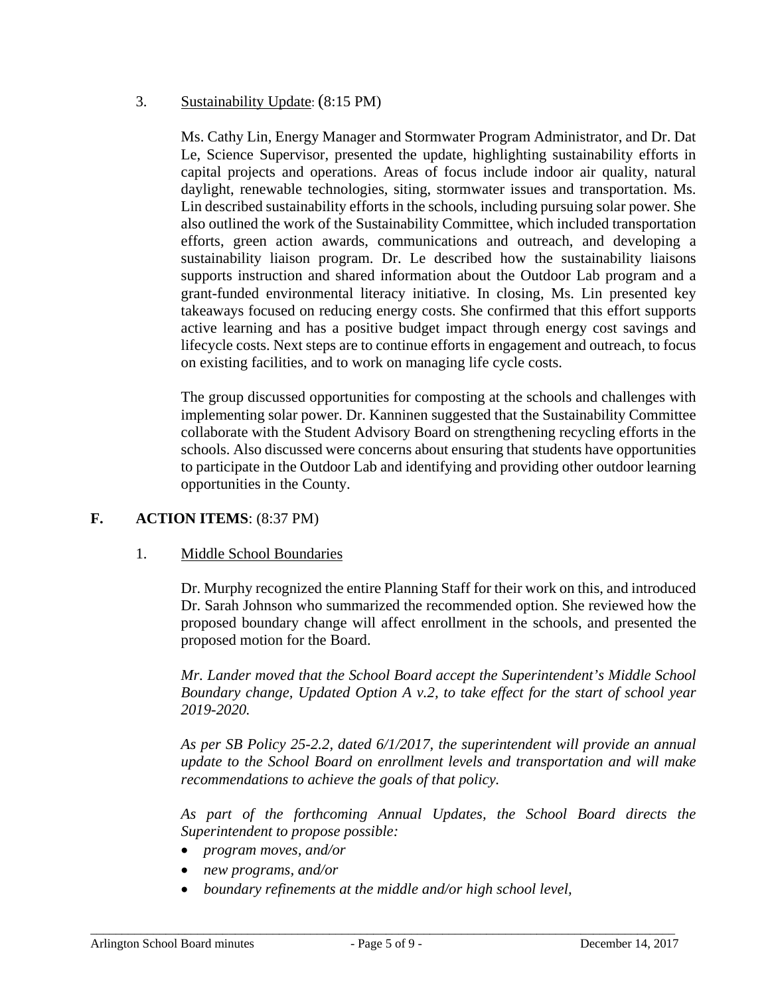### 3. Sustainability Update: (8:15 PM)

Ms. Cathy Lin, Energy Manager and Stormwater Program Administrator, and Dr. Dat Le, Science Supervisor, presented the update, highlighting sustainability efforts in capital projects and operations. Areas of focus include indoor air quality, natural daylight, renewable technologies, siting, stormwater issues and transportation. Ms. Lin described sustainability efforts in the schools, including pursuing solar power. She also outlined the work of the Sustainability Committee, which included transportation efforts, green action awards, communications and outreach, and developing a sustainability liaison program. Dr. Le described how the sustainability liaisons supports instruction and shared information about the Outdoor Lab program and a grant-funded environmental literacy initiative. In closing, Ms. Lin presented key takeaways focused on reducing energy costs. She confirmed that this effort supports active learning and has a positive budget impact through energy cost savings and lifecycle costs. Next steps are to continue efforts in engagement and outreach, to focus on existing facilities, and to work on managing life cycle costs.

The group discussed opportunities for composting at the schools and challenges with implementing solar power. Dr. Kanninen suggested that the Sustainability Committee collaborate with the Student Advisory Board on strengthening recycling efforts in the schools. Also discussed were concerns about ensuring that students have opportunities to participate in the Outdoor Lab and identifying and providing other outdoor learning opportunities in the County.

### **F. ACTION ITEMS**: (8:37 PM)

### 1. Middle School Boundaries

Dr. Murphy recognized the entire Planning Staff for their work on this, and introduced Dr. Sarah Johnson who summarized the recommended option. She reviewed how the proposed boundary change will affect enrollment in the schools, and presented the proposed motion for the Board.

*Mr. Lander moved that the School Board accept the Superintendent's Middle School Boundary change, Updated Option A v.2, to take effect for the start of school year 2019-2020.* 

*As per SB Policy 25-2.2, dated 6/1/2017, the superintendent will provide an annual update to the School Board on enrollment levels and transportation and will make recommendations to achieve the goals of that policy.* 

*As part of the forthcoming Annual Updates, the School Board directs the Superintendent to propose possible:* 

- *program moves, and/or*
- *new programs, and/or*
- *boundary refinements at the middle and/or high school level,*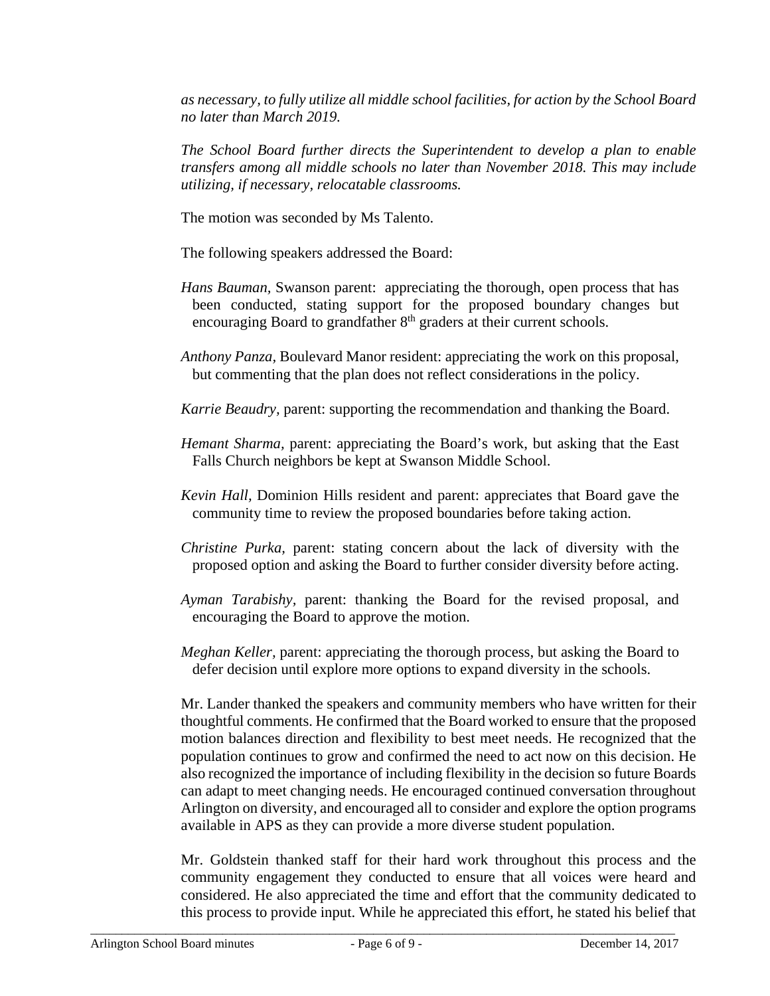*as necessary, to fully utilize all middle school facilities, for action by the School Board no later than March 2019.* 

*The School Board further directs the Superintendent to develop a plan to enable transfers among all middle schools no later than November 2018. This may include utilizing, if necessary, relocatable classrooms.* 

The motion was seconded by Ms Talento.

The following speakers addressed the Board:

- *Hans Bauman,* Swanson parent: appreciating the thorough, open process that has been conducted, stating support for the proposed boundary changes but encouraging Board to grandfather 8<sup>th</sup> graders at their current schools.
- *Anthony Panza,* Boulevard Manor resident: appreciating the work on this proposal, but commenting that the plan does not reflect considerations in the policy.

*Karrie Beaudry,* parent: supporting the recommendation and thanking the Board.

- *Hemant Sharma,* parent: appreciating the Board's work, but asking that the East Falls Church neighbors be kept at Swanson Middle School.
- *Kevin Hall,* Dominion Hills resident and parent: appreciates that Board gave the community time to review the proposed boundaries before taking action.
- *Christine Purka,* parent: stating concern about the lack of diversity with the proposed option and asking the Board to further consider diversity before acting.
- *Ayman Tarabishy,* parent: thanking the Board for the revised proposal, and encouraging the Board to approve the motion.
- *Meghan Keller,* parent: appreciating the thorough process, but asking the Board to defer decision until explore more options to expand diversity in the schools.

Mr. Lander thanked the speakers and community members who have written for their thoughtful comments. He confirmed that the Board worked to ensure that the proposed motion balances direction and flexibility to best meet needs. He recognized that the population continues to grow and confirmed the need to act now on this decision. He also recognized the importance of including flexibility in the decision so future Boards can adapt to meet changing needs. He encouraged continued conversation throughout Arlington on diversity, and encouraged all to consider and explore the option programs available in APS as they can provide a more diverse student population.

Mr. Goldstein thanked staff for their hard work throughout this process and the community engagement they conducted to ensure that all voices were heard and considered. He also appreciated the time and effort that the community dedicated to this process to provide input. While he appreciated this effort, he stated his belief that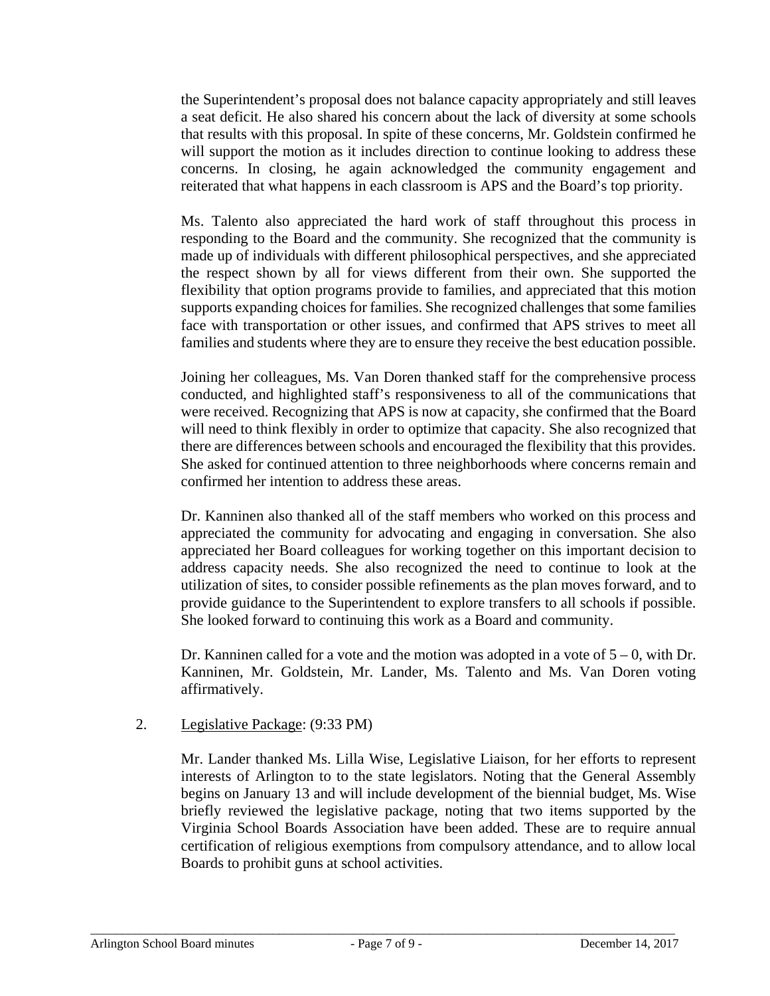the Superintendent's proposal does not balance capacity appropriately and still leaves a seat deficit. He also shared his concern about the lack of diversity at some schools that results with this proposal. In spite of these concerns, Mr. Goldstein confirmed he will support the motion as it includes direction to continue looking to address these concerns. In closing, he again acknowledged the community engagement and reiterated that what happens in each classroom is APS and the Board's top priority.

Ms. Talento also appreciated the hard work of staff throughout this process in responding to the Board and the community. She recognized that the community is made up of individuals with different philosophical perspectives, and she appreciated the respect shown by all for views different from their own. She supported the flexibility that option programs provide to families, and appreciated that this motion supports expanding choices for families. She recognized challenges that some families face with transportation or other issues, and confirmed that APS strives to meet all families and students where they are to ensure they receive the best education possible.

Joining her colleagues, Ms. Van Doren thanked staff for the comprehensive process conducted, and highlighted staff's responsiveness to all of the communications that were received. Recognizing that APS is now at capacity, she confirmed that the Board will need to think flexibly in order to optimize that capacity. She also recognized that there are differences between schools and encouraged the flexibility that this provides. She asked for continued attention to three neighborhoods where concerns remain and confirmed her intention to address these areas.

Dr. Kanninen also thanked all of the staff members who worked on this process and appreciated the community for advocating and engaging in conversation. She also appreciated her Board colleagues for working together on this important decision to address capacity needs. She also recognized the need to continue to look at the utilization of sites, to consider possible refinements as the plan moves forward, and to provide guidance to the Superintendent to explore transfers to all schools if possible. She looked forward to continuing this work as a Board and community.

Dr. Kanninen called for a vote and the motion was adopted in a vote of  $5 - 0$ , with Dr. Kanninen, Mr. Goldstein, Mr. Lander, Ms. Talento and Ms. Van Doren voting affirmatively.

# 2. Legislative Package: (9:33 PM)

Mr. Lander thanked Ms. Lilla Wise, Legislative Liaison, for her efforts to represent interests of Arlington to to the state legislators. Noting that the General Assembly begins on January 13 and will include development of the biennial budget, Ms. Wise briefly reviewed the legislative package, noting that two items supported by the Virginia School Boards Association have been added. These are to require annual certification of religious exemptions from compulsory attendance, and to allow local Boards to prohibit guns at school activities.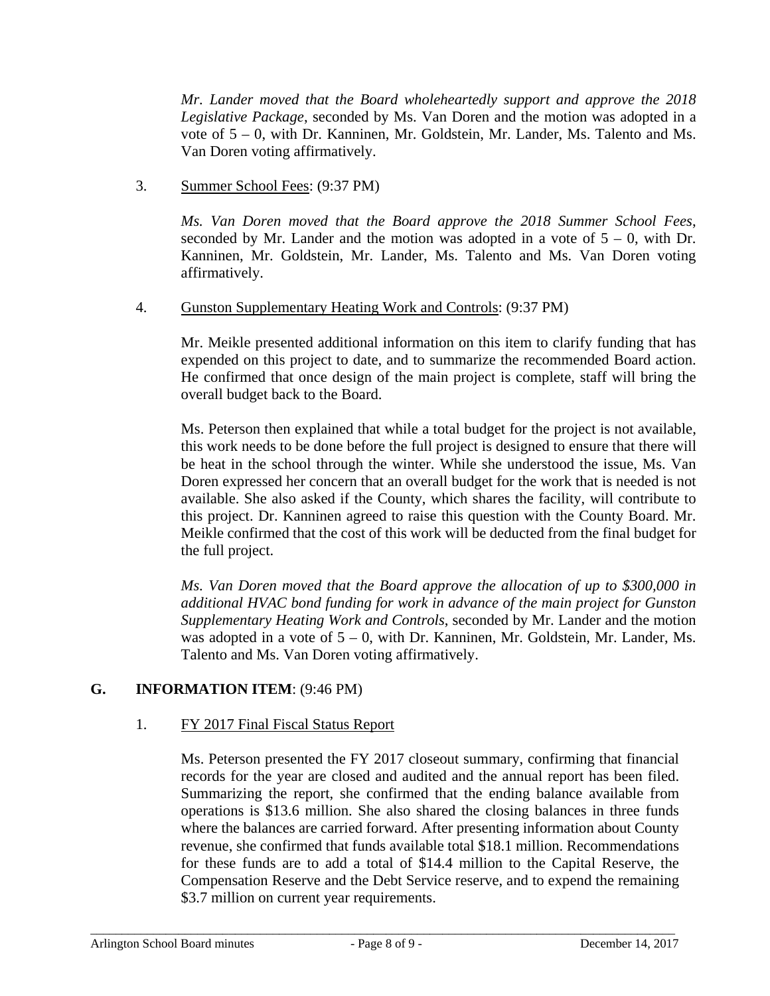*Mr. Lander moved that the Board wholeheartedly support and approve the 2018 Legislative Package*, seconded by Ms. Van Doren and the motion was adopted in a vote of  $5 - 0$ , with Dr. Kanninen, Mr. Goldstein, Mr. Lander, Ms. Talento and Ms. Van Doren voting affirmatively.

3. Summer School Fees: (9:37 PM)

*Ms. Van Doren moved that the Board approve the 2018 Summer School Fees*, seconded by Mr. Lander and the motion was adopted in a vote of  $5 - 0$ , with Dr. Kanninen, Mr. Goldstein, Mr. Lander, Ms. Talento and Ms. Van Doren voting affirmatively.

4. Gunston Supplementary Heating Work and Controls: (9:37 PM)

Mr. Meikle presented additional information on this item to clarify funding that has expended on this project to date, and to summarize the recommended Board action. He confirmed that once design of the main project is complete, staff will bring the overall budget back to the Board.

Ms. Peterson then explained that while a total budget for the project is not available, this work needs to be done before the full project is designed to ensure that there will be heat in the school through the winter. While she understood the issue, Ms. Van Doren expressed her concern that an overall budget for the work that is needed is not available. She also asked if the County, which shares the facility, will contribute to this project. Dr. Kanninen agreed to raise this question with the County Board. Mr. Meikle confirmed that the cost of this work will be deducted from the final budget for the full project.

*Ms. Van Doren moved that the Board approve the allocation of up to \$300,000 in additional HVAC bond funding for work in advance of the main project for Gunston Supplementary Heating Work and Controls*, seconded by Mr. Lander and the motion was adopted in a vote of  $5 - 0$ , with Dr. Kanninen, Mr. Goldstein, Mr. Lander, Ms. Talento and Ms. Van Doren voting affirmatively.

# **G. INFORMATION ITEM**: (9:46 PM)

# 1. FY 2017 Final Fiscal Status Report

Ms. Peterson presented the FY 2017 closeout summary, confirming that financial records for the year are closed and audited and the annual report has been filed. Summarizing the report, she confirmed that the ending balance available from operations is \$13.6 million. She also shared the closing balances in three funds where the balances are carried forward. After presenting information about County revenue, she confirmed that funds available total \$18.1 million. Recommendations for these funds are to add a total of \$14.4 million to the Capital Reserve, the Compensation Reserve and the Debt Service reserve, and to expend the remaining \$3.7 million on current year requirements.